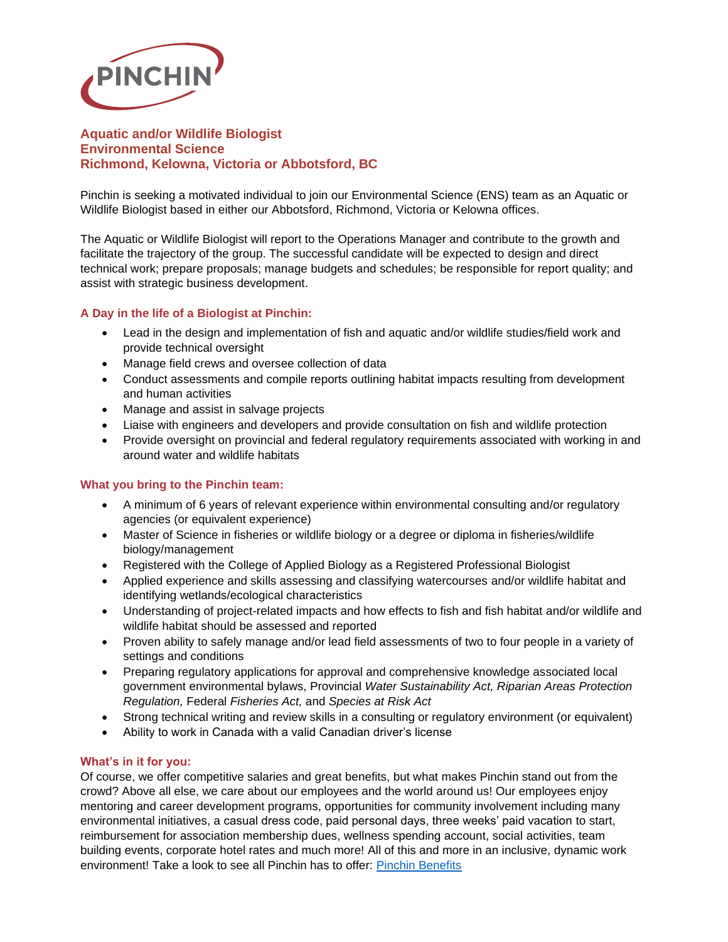

# **Aquatic and/or Wildlife Biologist Environmental Science Richmond, Kelowna, Victoria or Abbotsford, BC**

Pinchin is seeking a motivated individual to join our Environmental Science (ENS) team as an Aquatic or Wildlife Biologist based in either our Abbotsford, Richmond, Victoria or Kelowna offices.

The Aquatic or Wildlife Biologist will report to the Operations Manager and contribute to the growth and facilitate the trajectory of the group. The successful candidate will be expected to design and direct technical work; prepare proposals; manage budgets and schedules; be responsible for report quality; and assist with strategic business development.

## **A Day in the life of a Biologist at Pinchin:**

- Lead in the design and implementation of fish and aquatic and/or wildlife studies/field work and provide technical oversight
- Manage field crews and oversee collection of data
- Conduct assessments and compile reports outlining habitat impacts resulting from development and human activities
- Manage and assist in salvage projects
- Liaise with engineers and developers and provide consultation on fish and wildlife protection
- Provide oversight on provincial and federal regulatory requirements associated with working in and around water and wildlife habitats

## **What you bring to the Pinchin team:**

- A minimum of 6 years of relevant experience within environmental consulting and/or regulatory agencies (or equivalent experience)
- Master of Science in fisheries or wildlife biology or a degree or diploma in fisheries/wildlife biology/management
- Registered with the College of Applied Biology as a Registered Professional Biologist
- Applied experience and skills assessing and classifying watercourses and/or wildlife habitat and identifying wetlands/ecological characteristics
- Understanding of project-related impacts and how effects to fish and fish habitat and/or wildlife and wildlife habitat should be assessed and reported
- Proven ability to safely manage and/or lead field assessments of two to four people in a variety of settings and conditions
- Preparing regulatory applications for approval and comprehensive knowledge associated local government environmental bylaws, Provincial *Water Sustainability Act, Riparian Areas Protection Regulation,* Federal *Fisheries Act,* and *Species at Risk Act*
- Strong technical writing and review skills in a consulting or regulatory environment (or equivalent)
- Ability to work in Canada with a valid Canadian driver's license

#### **What's in it for you:**

Of course, we offer competitive salaries and great benefits, but what makes Pinchin stand out from the crowd? Above all else, we care about our employees and the world around us! Our employees enjoy mentoring and career development programs, opportunities for community involvement including many environmental initiatives, a casual dress code, paid personal days, three weeks' paid vacation to start, reimbursement for association membership dues, wellness spending account, social activities, team building events, corporate hotel rates and much more! All of this and more in an inclusive, dynamic work environment! Take a look to see all Pinchin has to offer: [Pinchin Benefits](https://www.pinchin.com/working-at-pinchin/benefits/149)